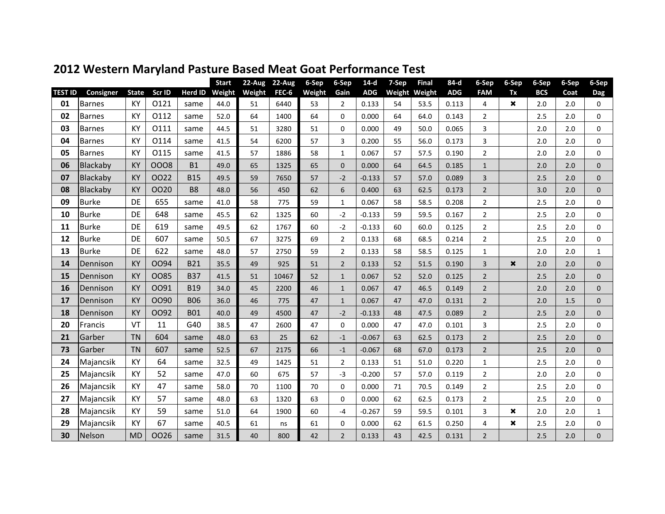|                |               |              |        |            | <b>Start</b> | 22-Aug | $22-Aug$ | 6-Sep  | 6-Sep          | $14-d$     | 7-Sep | <b>Final</b>  | 84-d       | 6-Sep          | 6-Sep                     | 6-Sep      | 6-Sep | 6-Sep        |
|----------------|---------------|--------------|--------|------------|--------------|--------|----------|--------|----------------|------------|-------|---------------|------------|----------------|---------------------------|------------|-------|--------------|
| <b>TEST ID</b> | Consigner     | <b>State</b> | Scr ID | Herd ID    | Weight       | Weight | FEC-6    | Weight | Gain           | <b>ADG</b> |       | Weight Weight | <b>ADG</b> | <b>FAM</b>     | Tx                        | <b>BCS</b> | Coat  | <b>Dag</b>   |
| 01             | <b>Barnes</b> | KY           | 0121   | same       | 44.0         | 51     | 6440     | 53     | $\overline{2}$ | 0.133      | 54    | 53.5          | 0.113      | 4              | $\boldsymbol{\mathsf{x}}$ | 2.0        | 2.0   | 0            |
| 02             | <b>Barnes</b> | KY           | 0112   | same       | 52.0         | 64     | 1400     | 64     | 0              | 0.000      | 64    | 64.0          | 0.143      | 2              |                           | 2.5        | 2.0   | 0            |
| 03             | <b>Barnes</b> | KY           | 0111   | same       | 44.5         | 51     | 3280     | 51     | $\Omega$       | 0.000      | 49    | 50.0          | 0.065      | 3              |                           | 2.0        | 2.0   | $\mathbf 0$  |
| 04             | <b>Barnes</b> | KY           | 0114   | same       | 41.5         | 54     | 6200     | 57     | 3              | 0.200      | 55    | 56.0          | 0.173      | 3              |                           | 2.0        | 2.0   | $\mathbf 0$  |
| 05             | <b>Barnes</b> | KY           | 0115   | same       | 41.5         | 57     | 1886     | 58     | $\mathbf{1}$   | 0.067      | 57    | 57.5          | 0.190      | $\overline{2}$ |                           | 2.0        | 2.0   | $\mathbf 0$  |
| 06             | Blackaby      | <b>KY</b>    | 0008   | <b>B1</b>  | 49.0         | 65     | 1325     | 65     | $\Omega$       | 0.000      | 64    | 64.5          | 0.185      | $\mathbf{1}$   |                           | 2.0        | 2.0   | 0            |
| 07             | Blackaby      | KY           | 0022   | <b>B15</b> | 49.5         | 59     | 7650     | 57     | $-2$           | $-0.133$   | 57    | 57.0          | 0.089      | $\overline{3}$ |                           | 2.5        | 2.0   | 0            |
| 08             | Blackaby      | <b>KY</b>    | 0020   | <b>B8</b>  | 48.0         | 56     | 450      | 62     | 6              | 0.400      | 63    | 62.5          | 0.173      | $\overline{2}$ |                           | 3.0        | 2.0   | $\Omega$     |
| 09             | <b>Burke</b>  | DE           | 655    | same       | 41.0         | 58     | 775      | 59     | $\mathbf{1}$   | 0.067      | 58    | 58.5          | 0.208      | 2              |                           | 2.5        | 2.0   | $\mathbf 0$  |
| 10             | <b>Burke</b>  | <b>DE</b>    | 648    | same       | 45.5         | 62     | 1325     | 60     | $-2$           | $-0.133$   | 59    | 59.5          | 0.167      | $\overline{2}$ |                           | 2.5        | 2.0   | $\Omega$     |
| 11             | <b>Burke</b>  | <b>DE</b>    | 619    | same       | 49.5         | 62     | 1767     | 60     | $-2$           | $-0.133$   | 60    | 60.0          | 0.125      | $\overline{2}$ |                           | 2.5        | 2.0   | $\mathbf 0$  |
| 12             | <b>Burke</b>  | DE           | 607    | same       | 50.5         | 67     | 3275     | 69     | $\overline{2}$ | 0.133      | 68    | 68.5          | 0.214      | $\overline{2}$ |                           | 2.5        | 2.0   | 0            |
| 13             | <b>Burke</b>  | <b>DE</b>    | 622    | same       | 48.0         | 57     | 2750     | 59     | $\overline{2}$ | 0.133      | 58    | 58.5          | 0.125      | $\mathbf{1}$   |                           | 2.0        | 2.0   | $\mathbf{1}$ |
| 14             | Dennison      | <b>KY</b>    | OO94   | <b>B21</b> | 35.5         | 49     | 925      | 51     | $\overline{2}$ | 0.133      | 52    | 51.5          | 0.190      | $\overline{3}$ | $\boldsymbol{\mathsf{x}}$ | 2.0        | 2.0   | 0            |
| 15             | Dennison      | <b>KY</b>    | 0085   | <b>B37</b> | 41.5         | 51     | 10467    | 52     | $\mathbf{1}$   | 0.067      | 52    | 52.0          | 0.125      | $\overline{2}$ |                           | 2.5        | 2.0   | $\mathbf{0}$ |
| 16             | Dennison      | <b>KY</b>    | 0091   | <b>B19</b> | 34.0         | 45     | 2200     | 46     | $\mathbf{1}$   | 0.067      | 47    | 46.5          | 0.149      | $\overline{2}$ |                           | 2.0        | 2.0   | 0            |
| 17             | Dennison      | <b>KY</b>    | OO90   | <b>B06</b> | 36.0         | 46     | 775      | 47     | $\mathbf{1}$   | 0.067      | 47    | 47.0          | 0.131      | $\overline{2}$ |                           | 2.0        | 1.5   | $\mathbf{0}$ |
| 18             | Dennison      | <b>KY</b>    | 0092   | <b>B01</b> | 40.0         | 49     | 4500     | 47     | $-2$           | $-0.133$   | 48    | 47.5          | 0.089      | $\overline{2}$ |                           | 2.5        | 2.0   | 0            |
| 20             | Francis       | VT           | 11     | G40        | 38.5         | 47     | 2600     | 47     | 0              | 0.000      | 47    | 47.0          | 0.101      | 3              |                           | 2.5        | 2.0   | $\mathbf 0$  |
| 21             | Garber        | <b>TN</b>    | 604    | same       | 48.0         | 63     | 25       | 62     | $-1$           | $-0.067$   | 63    | 62.5          | 0.173      | $\overline{2}$ |                           | 2.5        | 2.0   | 0            |
| 73             | Garber        | <b>TN</b>    | 607    | same       | 52.5         | 67     | 2175     | 66     | $-1$           | $-0.067$   | 68    | 67.0          | 0.173      | $\overline{2}$ |                           | 2.5        | 2.0   | 0            |
| 24             | Majancsik     | KY           | 64     | same       | 32.5         | 49     | 1425     | 51     | $\overline{2}$ | 0.133      | 51    | 51.0          | 0.220      | $\mathbf{1}$   |                           | 2.5        | 2.0   | $\Omega$     |
| 25             | Majancsik     | KY           | 52     | same       | 47.0         | 60     | 675      | 57     | $-3$           | $-0.200$   | 57    | 57.0          | 0.119      | $\overline{2}$ |                           | 2.0        | 2.0   | $\Omega$     |
| 26             | Majancsik     | KY           | 47     | same       | 58.0         | 70     | 1100     | 70     | 0              | 0.000      | 71    | 70.5          | 0.149      | $\overline{2}$ |                           | 2.5        | 2.0   | $\mathbf 0$  |
| 27             | Majancsik     | <b>KY</b>    | 57     | same       | 48.0         | 63     | 1320     | 63     | $\Omega$       | 0.000      | 62    | 62.5          | 0.173      | $\overline{2}$ |                           | 2.5        | 2.0   | $\mathbf 0$  |
| 28             | Majancsik     | KY           | 59     | same       | 51.0         | 64     | 1900     | 60     | $-4$           | $-0.267$   | 59    | 59.5          | 0.101      | 3              | $\boldsymbol{\mathsf{x}}$ | 2.0        | 2.0   | $\mathbf{1}$ |
| 29             | Majancsik     | <b>KY</b>    | 67     | same       | 40.5         | 61     | ns       | 61     | 0              | 0.000      | 62    | 61.5          | 0.250      | 4              | ×                         | 2.5        | 2.0   | $\mathbf 0$  |
| 30             | Nelson        | <b>MD</b>    | 0026   | same       | 31.5         | 40     | 800      | 42     | $\overline{2}$ | 0.133      | 43    | 42.5          | 0.131      | $\overline{2}$ |                           | 2.5        | 2.0   | 0            |

## **2012 Western Maryland Pasture Based Meat Goat Performance Test**